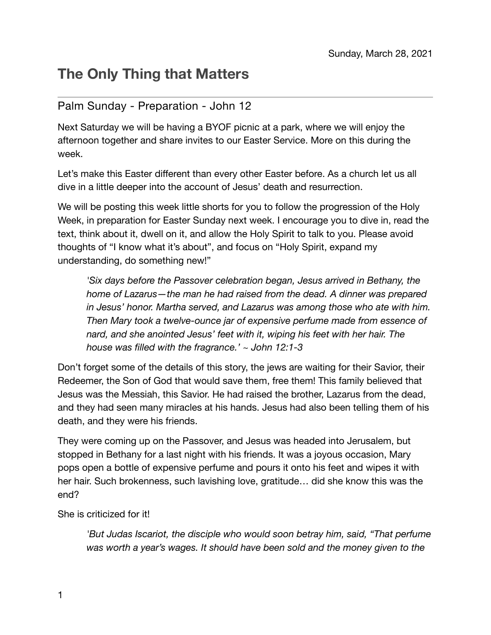## **The Only Thing that Matters**

## Palm Sunday - Preparation - John 12

Next Saturday we will be having a BYOF picnic at a park, where we will enjoy the afternoon together and share invites to our Easter Service. More on this during the week.

Let's make this Easter different than every other Easter before. As a church let us all dive in a little deeper into the account of Jesus' death and resurrection.

We will be posting this week little shorts for you to follow the progression of the Holy Week, in preparation for Easter Sunday next week. I encourage you to dive in, read the text, think about it, dwell on it, and allow the Holy Spirit to talk to you. Please avoid thoughts of "I know what it's about", and focus on "Holy Spirit, expand my understanding, do something new!"

*'Six days before the Passover celebration began, Jesus arrived in Bethany, the home of Lazarus—the man he had raised from the dead. A dinner was prepared in Jesus' honor. Martha served, and Lazarus was among those who ate with him. Then Mary took a twelve-ounce jar of expensive perfume made from essence of nard, and she anointed Jesus' feet with it, wiping his feet with her hair. The house was filled with the fragrance.' ~ John 12:1-3* 

Don't forget some of the details of this story, the jews are waiting for their Savior, their Redeemer, the Son of God that would save them, free them! This family believed that Jesus was the Messiah, this Savior. He had raised the brother, Lazarus from the dead, and they had seen many miracles at his hands. Jesus had also been telling them of his death, and they were his friends.

They were coming up on the Passover, and Jesus was headed into Jerusalem, but stopped in Bethany for a last night with his friends. It was a joyous occasion, Mary pops open a bottle of expensive perfume and pours it onto his feet and wipes it with her hair. Such brokenness, such lavishing love, gratitude… did she know this was the end?

She is criticized for it!

*'But Judas Iscariot, the disciple who would soon betray him, said, "That perfume was worth a year's wages. It should have been sold and the money given to the*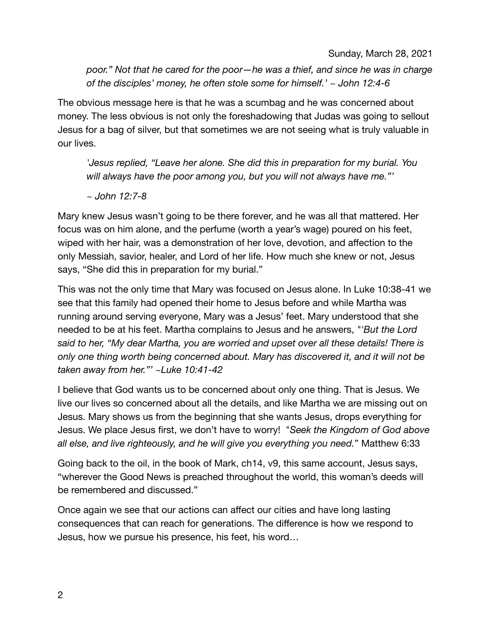Sunday, March 28, 2021

*poor." Not that he cared for the poor—he was a thief, and since he was in charge of the disciples' money, he often stole some for himself.' ~ John 12:4-6* 

The obvious message here is that he was a scumbag and he was concerned about money. The less obvious is not only the foreshadowing that Judas was going to sellout Jesus for a bag of silver, but that sometimes we are not seeing what is truly valuable in our lives.

*'Jesus replied, "Leave her alone. She did this in preparation for my burial. You will always have the poor among you, but you will not always have me."'* 

*~ John 12:7-8* 

Mary knew Jesus wasn't going to be there forever, and he was all that mattered. Her focus was on him alone, and the perfume (worth a year's wage) poured on his feet, wiped with her hair, was a demonstration of her love, devotion, and affection to the only Messiah, savior, healer, and Lord of her life. How much she knew or not, Jesus says, "She did this in preparation for my burial."

This was not the only time that Mary was focused on Jesus alone. In Luke 10:38-41 we see that this family had opened their home to Jesus before and while Martha was running around serving everyone, Mary was a Jesus' feet. Mary understood that she needed to be at his feet. Martha complains to Jesus and he answers, *"'But the Lord said to her, "My dear Martha, you are worried and upset over all these details! There is only one thing worth being concerned about. Mary has discovered it, and it will not be taken away from her."' ~Luke 10:41-42*

I believe that God wants us to be concerned about only one thing. That is Jesus. We live our lives so concerned about all the details, and like Martha we are missing out on Jesus. Mary shows us from the beginning that she wants Jesus, drops everything for Jesus. We place Jesus first, we don't have to worry! "*Seek the Kingdom of God above all else, and live righteously, and he will give you everything you need.*" Matthew 6:33

Going back to the oil, in the book of Mark, ch14, v9, this same account, Jesus says, "wherever the Good News is preached throughout the world, this woman's deeds will be remembered and discussed."

Once again we see that our actions can affect our cities and have long lasting consequences that can reach for generations. The difference is how we respond to Jesus, how we pursue his presence, his feet, his word…